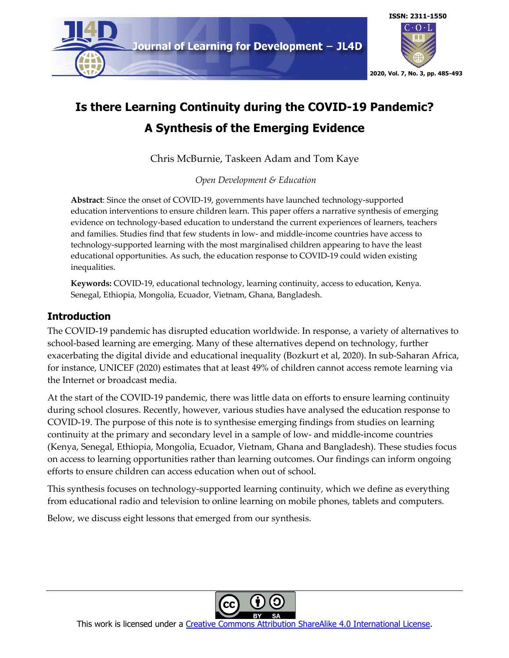

# **Is there Learning Continuity during the COVID-19 Pandemic? A Synthesis of the Emerging Evidence**

Chris McBurnie, Taskeen Adam and Tom Kaye

*Open Development & Education*

**Abstract**: Since the onset of COVID-19, governments have launched technology-supported education interventions to ensure children learn. This paper offers a narrative synthesis of emerging evidence on technology-based education to understand the current experiences of learners, teachers and families. Studies find that few students in low- and middle-income countries have access to technology-supported learning with the most marginalised children appearing to have the least educational opportunities. As such, the education response to COVID-19 could widen existing inequalities.

**Keywords:** COVID-19, educational technology, learning continuity, access to education, Kenya. Senegal, Ethiopia, Mongolia, Ecuador, Vietnam, Ghana, Bangladesh.

### **Introduction**

The COVID-19 pandemic has disrupted education worldwide. In response, a variety of alternatives to school-based learning are emerging. Many of these alternatives depend on technology, further exacerbating the digital divide and educational inequality (Bozkurt et al, 2020). In sub-Saharan Africa, for instance, UNICEF (2020) estimates that at least 49% of children cannot access remote learning via the Internet or broadcast media.

At the start of the COVID-19 pandemic, there was little data on efforts to ensure learning continuity during school closures. Recently, however, various studies have analysed the education response to COVID-19. The purpose of this note is to synthesise emerging findings from studies on learning continuity at the primary and secondary level in a sample of low- and middle-income countries (Kenya, Senegal, Ethiopia, Mongolia, Ecuador, Vietnam, Ghana and Bangladesh). These studies focus on access to learning opportunities rather than learning outcomes. Our findings can inform ongoing efforts to ensure children can access education when out of school.

This synthesis focuses on technology-supported learning continuity, which we define as everything from educational radio and television to online learning on mobile phones, tablets and computers.

Below, we discuss eight lessons that emerged from our synthesis.



This work is licensed under a Creative Commons Attribution ShareAlike 4.0 International License.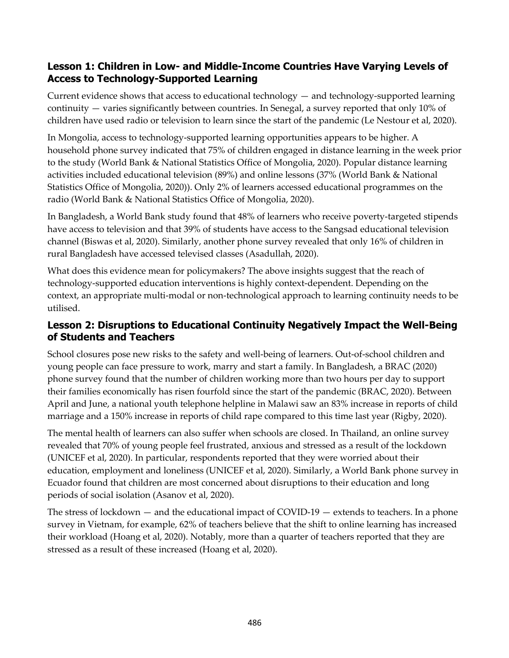#### **Lesson 1: Children in Low- and Middle-Income Countries Have Varying Levels of Access to Technology-Supported Learning**

Current evidence shows that access to educational technology — and technology-supported learning continuity — varies significantly between countries. In Senegal, a survey reported that only 10% of children have used radio or television to learn since the start of the pandemic (Le Nestour et al, 2020).

In Mongolia, access to technology-supported learning opportunities appears to be higher. A household phone survey indicated that 75% of children engaged in distance learning in the week prior to the study (World Bank & National Statistics Office of Mongolia, 2020). Popular distance learning activities included educational television (89%) and online lessons (37% (World Bank & National Statistics Office of Mongolia, 2020)). Only 2% of learners accessed educational programmes on the radio (World Bank & National Statistics Office of Mongolia, 2020).

In Bangladesh, a World Bank study found that 48% of learners who receive poverty-targeted stipends have access to television and that 39% of students have access to the Sangsad educational television channel (Biswas et al, 2020). Similarly, another phone survey revealed that only 16% of children in rural Bangladesh have accessed televised classes (Asadullah, 2020).

What does this evidence mean for policymakers? The above insights suggest that the reach of technology-supported education interventions is highly context-dependent. Depending on the context, an appropriate multi-modal or non-technological approach to learning continuity needs to be utilised.

### **Lesson 2: Disruptions to Educational Continuity Negatively Impact the Well-Being of Students and Teachers**

School closures pose new risks to the safety and well-being of learners. Out-of-school children and young people can face pressure to work, marry and start a family. In Bangladesh, a BRAC (2020) phone survey found that the number of children working more than two hours per day to support their families economically has risen fourfold since the start of the pandemic (BRAC, 2020). Between April and June, a national youth telephone helpline in Malawi saw an 83% increase in reports of child marriage and a 150% increase in reports of child rape compared to this time last year (Rigby, 2020).

The mental health of learners can also suffer when schools are closed. In Thailand, an online survey revealed that 70% of young people feel frustrated, anxious and stressed as a result of the lockdown (UNICEF et al, 2020). In particular, respondents reported that they were worried about their education, employment and loneliness (UNICEF et al, 2020). Similarly, a World Bank phone survey in Ecuador found that children are most concerned about disruptions to their education and long periods of social isolation (Asanov et al, 2020).

The stress of lockdown — and the educational impact of COVID-19 — extends to teachers. In a phone survey in Vietnam, for example, 62% of teachers believe that the shift to online learning has increased their workload (Hoang et al, 2020). Notably, more than a quarter of teachers reported that they are stressed as a result of these increased (Hoang et al, 2020).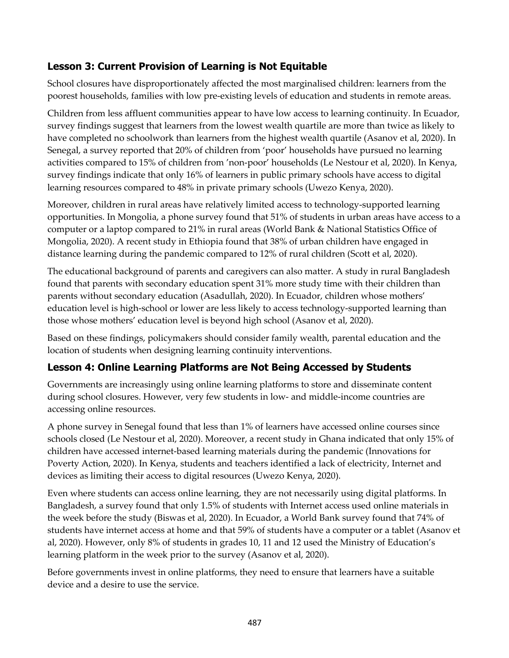## **Lesson 3: Current Provision of Learning is Not Equitable**

School closures have disproportionately affected the most marginalised children: learners from the poorest households, families with low pre-existing levels of education and students in remote areas.

Children from less affluent communities appear to have low access to learning continuity. In Ecuador, survey findings suggest that learners from the lowest wealth quartile are more than twice as likely to have completed no schoolwork than learners from the highest wealth quartile (Asanov et al, 2020). In Senegal, a survey reported that 20% of children from 'poor' households have pursued no learning activities compared to 15% of children from 'non-poor' households (Le Nestour et al, 2020). In Kenya, survey findings indicate that only 16% of learners in public primary schools have access to digital learning resources compared to 48% in private primary schools (Uwezo Kenya, 2020).

Moreover, children in rural areas have relatively limited access to technology-supported learning opportunities. In Mongolia, a phone survey found that 51% of students in urban areas have access to a computer or a laptop compared to 21% in rural areas (World Bank & National Statistics Office of Mongolia, 2020). A recent study in Ethiopia found that 38% of urban children have engaged in distance learning during the pandemic compared to 12% of rural children (Scott et al, 2020).

The educational background of parents and caregivers can also matter. A study in rural Bangladesh found that parents with secondary education spent 31% more study time with their children than parents without secondary education (Asadullah, 2020). In Ecuador, children whose mothers' education level is high-school or lower are less likely to access technology-supported learning than those whose mothers' education level is beyond high school (Asanov et al, 2020).

Based on these findings, policymakers should consider family wealth, parental education and the location of students when designing learning continuity interventions.

### **Lesson 4: Online Learning Platforms are Not Being Accessed by Students**

Governments are increasingly using online learning platforms to store and disseminate content during school closures. However, very few students in low- and middle-income countries are accessing online resources.

A phone survey in Senegal found that less than 1% of learners have accessed online courses since schools closed (Le Nestour et al, 2020). Moreover, a recent study in Ghana indicated that only 15% of children have accessed internet-based learning materials during the pandemic (Innovations for Poverty Action, 2020). In Kenya, students and teachers identified a lack of electricity, Internet and devices as limiting their access to digital resources (Uwezo Kenya, 2020).

Even where students can access online learning, they are not necessarily using digital platforms. In Bangladesh, a survey found that only 1.5% of students with Internet access used online materials in the week before the study (Biswas et al, 2020). In Ecuador, a World Bank survey found that 74% of students have internet access at home and that 59% of students have a computer or a tablet (Asanov et al, 2020). However, only 8% of students in grades 10, 11 and 12 used the Ministry of Education's learning platform in the week prior to the survey (Asanov et al, 2020).

Before governments invest in online platforms, they need to ensure that learners have a suitable device and a desire to use the service.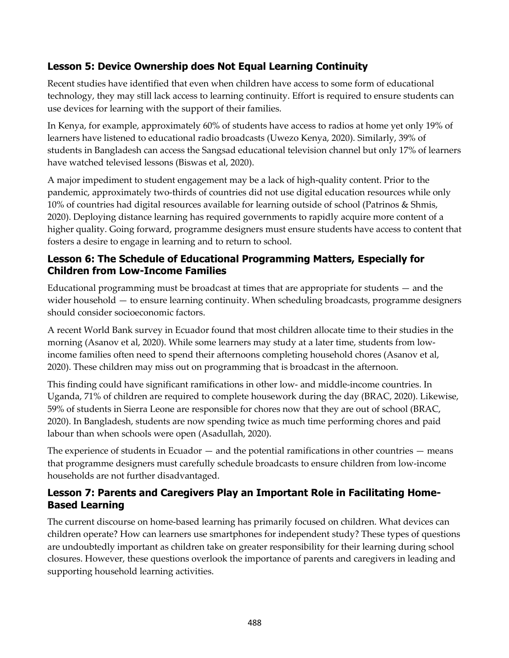## **Lesson 5: Device Ownership does Not Equal Learning Continuity**

Recent studies have identified that even when children have access to some form of educational technology, they may still lack access to learning continuity. Effort is required to ensure students can use devices for learning with the support of their families.

In Kenya, for example, approximately 60% of students have access to radios at home yet only 19% of learners have listened to educational radio broadcasts (Uwezo Kenya, 2020). Similarly, 39% of students in Bangladesh can access the Sangsad educational television channel but only 17% of learners have watched televised lessons (Biswas et al, 2020).

A major impediment to student engagement may be a lack of high-quality content. Prior to the pandemic, approximately two-thirds of countries did not use digital education resources while only 10% of countries had digital resources available for learning outside of school (Patrinos & Shmis, 2020). Deploying distance learning has required governments to rapidly acquire more content of a higher quality. Going forward, programme designers must ensure students have access to content that fosters a desire to engage in learning and to return to school.

### **Lesson 6: The Schedule of Educational Programming Matters, Especially for Children from Low-Income Families**

Educational programming must be broadcast at times that are appropriate for students — and the wider household — to ensure learning continuity. When scheduling broadcasts, programme designers should consider socioeconomic factors.

A recent World Bank survey in Ecuador found that most children allocate time to their studies in the morning (Asanov et al, 2020). While some learners may study at a later time, students from lowincome families often need to spend their afternoons completing household chores (Asanov et al, 2020). These children may miss out on programming that is broadcast in the afternoon.

This finding could have significant ramifications in other low- and middle-income countries. In Uganda, 71% of children are required to complete housework during the day (BRAC, 2020). Likewise, 59% of students in Sierra Leone are responsible for chores now that they are out of school (BRAC, 2020). In Bangladesh, students are now spending twice as much time performing chores and paid labour than when schools were open (Asadullah, 2020).

The experience of students in Ecuador  $-$  and the potential ramifications in other countries  $-$  means that programme designers must carefully schedule broadcasts to ensure children from low-income households are not further disadvantaged.

### **Lesson 7: Parents and Caregivers Play an Important Role in Facilitating Home-Based Learning**

The current discourse on home-based learning has primarily focused on children. What devices can children operate? How can learners use smartphones for independent study? These types of questions are undoubtedly important as children take on greater responsibility for their learning during school closures. However, these questions overlook the importance of parents and caregivers in leading and supporting household learning activities.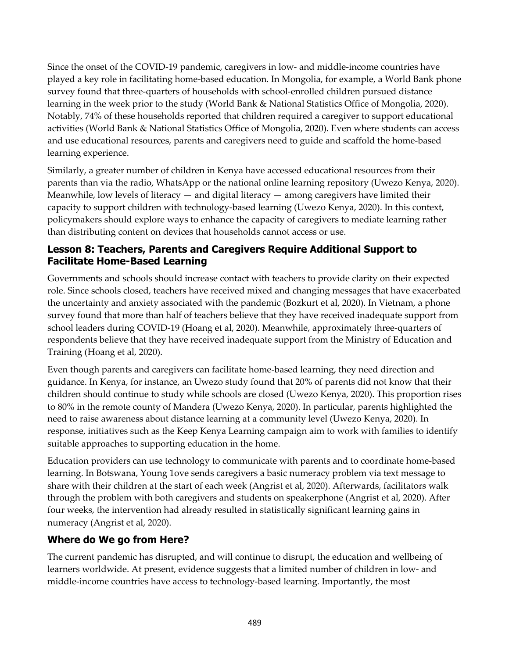Since the onset of the COVID-19 pandemic, caregivers in low- and middle-income countries have played a key role in facilitating home-based education. In Mongolia, for example, a World Bank phone survey found that three-quarters of households with school-enrolled children pursued distance learning in the week prior to the study (World Bank & National Statistics Office of Mongolia, 2020). Notably, 74% of these households reported that children required a caregiver to support educational activities (World Bank & National Statistics Office of Mongolia, 2020). Even where students can access and use educational resources, parents and caregivers need to guide and scaffold the home-based learning experience.

Similarly, a greater number of children in Kenya have accessed educational resources from their parents than via the radio, WhatsApp or the national online learning repository (Uwezo Kenya, 2020). Meanwhile, low levels of literacy  $-$  and digital literacy  $-$  among caregivers have limited their capacity to support children with technology-based learning (Uwezo Kenya, 2020). In this context, policymakers should explore ways to enhance the capacity of caregivers to mediate learning rather than distributing content on devices that households cannot access or use.

#### **Lesson 8: Teachers, Parents and Caregivers Require Additional Support to Facilitate Home-Based Learning**

Governments and schools should increase contact with teachers to provide clarity on their expected role. Since schools closed, teachers have received mixed and changing messages that have exacerbated the uncertainty and anxiety associated with the pandemic (Bozkurt et al, 2020). In Vietnam, a phone survey found that more than half of teachers believe that they have received inadequate support from school leaders during COVID-19 (Hoang et al, 2020). Meanwhile, approximately three-quarters of respondents believe that they have received inadequate support from the Ministry of Education and Training (Hoang et al, 2020).

Even though parents and caregivers can facilitate home-based learning, they need direction and guidance. In Kenya, for instance, an Uwezo study found that 20% of parents did not know that their children should continue to study while schools are closed (Uwezo Kenya, 2020). This proportion rises to 80% in the remote county of Mandera (Uwezo Kenya, 2020). In particular, parents highlighted the need to raise awareness about distance learning at a community level (Uwezo Kenya, 2020). In response, initiatives such as the Keep Kenya Learning campaign aim to work with families to identify suitable approaches to supporting education in the home.

Education providers can use technology to communicate with parents and to coordinate home-based learning. In Botswana, Young 1ove sends caregivers a basic numeracy problem via text message to share with their children at the start of each week (Angrist et al, 2020). Afterwards, facilitators walk through the problem with both caregivers and students on speakerphone (Angrist et al, 2020). After four weeks, the intervention had already resulted in statistically significant learning gains in numeracy (Angrist et al, 2020).

### **Where do We go from Here?**

The current pandemic has disrupted, and will continue to disrupt, the education and wellbeing of learners worldwide. At present, evidence suggests that a limited number of children in low- and middle-income countries have access to technology-based learning. Importantly, the most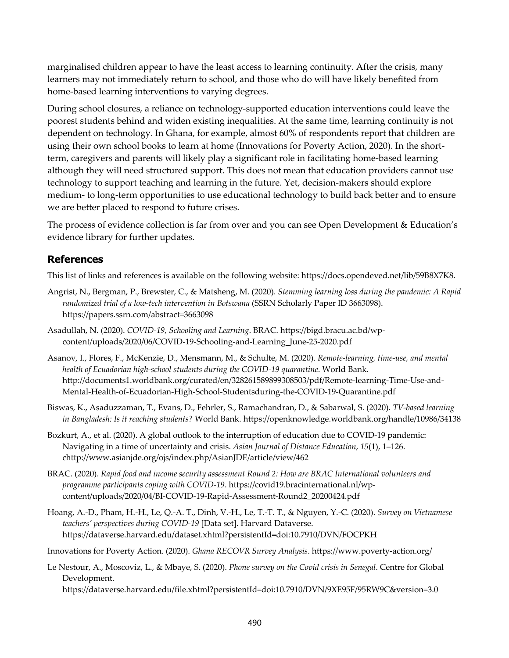marginalised children appear to have the least access to learning continuity. After the crisis, many learners may not immediately return to school, and those who do will have likely benefited from home-based learning interventions to varying degrees.

During school closures, a reliance on technology-supported education interventions could leave the poorest students behind and widen existing inequalities. At the same time, learning continuity is not dependent on technology. In Ghana, for example, almost 60% of respondents report that children are using their own school books to learn at home (Innovations for Poverty Action, 2020). In the shortterm, caregivers and parents will likely play a significant role in facilitating home-based learning although they will need structured support. This does not mean that education providers cannot use technology to support teaching and learning in the future. Yet, decision-makers should explore medium- to long-term opportunities to use educational technology to build back better and to ensure we are better placed to respond to future crises.

The process of evidence collection is far from over and you can see Open Development & Education's evidence library for further updates.

#### **References**

This list of links and references is available on the following website: https://docs.opendeved.net/lib/59B8X7K8.

- Angrist, N., Bergman, P., Brewster, C., & Matsheng, M. (2020). *Stemming learning loss during the pandemic: A Rapid randomized trial of a low-tech intervention in Botswana* (SSRN Scholarly Paper ID 3663098). https://papers.ssrn.com/abstract=3663098
- Asadullah, N. (2020). *COVID-19, Schooling and Learning*. BRAC. https://bigd.bracu.ac.bd/wpcontent/uploads/2020/06/COVID-19-Schooling-and-Learning\_June-25-2020.pdf
- Asanov, I., Flores, F., McKenzie, D., Mensmann, M., & Schulte, M. (2020). *Remote-learning, time-use, and mental health of Ecuadorian high-school students during the COVID-19 quarantine*. World Bank. http://documents1.worldbank.org/curated/en/328261589899308503/pdf/Remote-learning-Time-Use-and-Mental-Health-of-Ecuadorian-High-School-Studentsduring-the-COVID-19-Quarantine.pdf
- Biswas, K., Asaduzzaman, T., Evans, D., Fehrler, S., Ramachandran, D., & Sabarwal, S. (2020). *TV-based learning in Bangladesh: Is it reaching students?* World Bank. https://openknowledge.worldbank.org/handle/10986/34138
- Bozkurt, A., et al. (2020). A global outlook to the interruption of education due to COVID-19 pandemic: Navigating in a time of uncertainty and crisis. *Asian Journal of Distance Education*, *15*(1), 1–126. chttp://www.asianjde.org/ojs/index.php/AsianJDE/article/view/462
- BRAC. (2020). *Rapid food and income security assessment Round 2: How are BRAC International volunteers and programme participants coping with COVID-19*. https://covid19.bracinternational.nl/wpcontent/uploads/2020/04/BI-COVID-19-Rapid-Assessment-Round2\_20200424.pdf

Hoang, A.-D., Pham, H.-H., Le, Q.-A. T., Dinh, V.-H., Le, T.-T. T., & Nguyen, Y.-C. (2020). *Survey on Vietnamese teachers' perspectives during COVID-19* [Data set]. Harvard Dataverse. https://dataverse.harvard.edu/dataset.xhtml?persistentId=doi:10.7910/DVN/FOCPKH

Innovations for Poverty Action. (2020). *Ghana RECOVR Survey Analysis*. https://www.poverty-action.org/

Le Nestour, A., Moscoviz, L., & Mbaye, S. (2020). *Phone survey on the Covid crisis in Senegal*. Centre for Global Development. https://dataverse.harvard.edu/file.xhtml?persistentId=doi:10.7910/DVN/9XE95F/95RW9C&version=3.0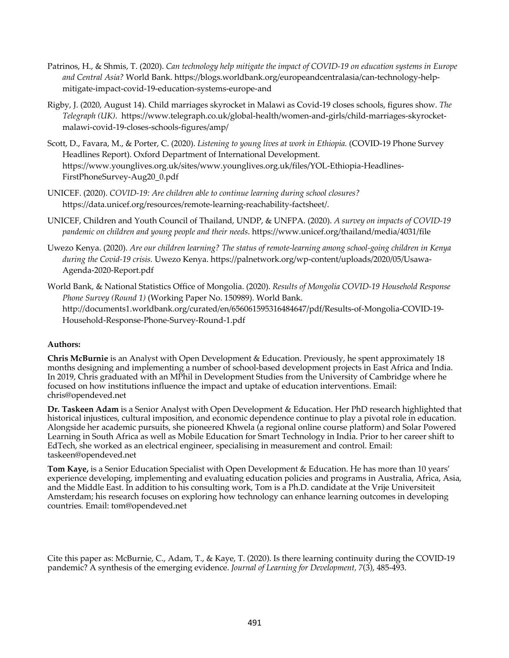- Patrinos, H., & Shmis, T. (2020). *Can technology help mitigate the impact of COVID-19 on education systems in Europe and Central Asia?* World Bank. https://blogs.worldbank.org/europeandcentralasia/can-technology-helpmitigate-impact-covid-19-education-systems-europe-and
- Rigby, J. (2020, August 14). Child marriages skyrocket in Malawi as Covid-19 closes schools, figures show. *The Telegraph (UK)*. https://www.telegraph.co.uk/global-health/women-and-girls/child-marriages-skyrocketmalawi-covid-19-closes-schools-figures/amp/
- Scott, D., Favara, M., & Porter, C. (2020). *Listening to young lives at work in Ethiopia.* (COVID-19 Phone Survey Headlines Report). Oxford Department of International Development. https://www.younglives.org.uk/sites/www.younglives.org.uk/files/YOL-Ethiopia-Headlines-FirstPhoneSurvey-Aug20\_0.pdf
- UNICEF. (2020). *COVID-19: Are children able to continue learning during school closures?* https://data.unicef.org/resources/remote-learning-reachability-factsheet/.
- UNICEF, Children and Youth Council of Thailand, UNDP, & UNFPA. (2020). *A survey on impacts of COVID-19 pandemic on children and young people and their needs*. https://www.unicef.org/thailand/media/4031/file
- Uwezo Kenya. (2020). *Are our children learning? The status of remote-learning among school-going children in Kenya during the Covid-19 crisis.* Uwezo Kenya. https://palnetwork.org/wp-content/uploads/2020/05/Usawa-Agenda-2020-Report.pdf
- World Bank, & National Statistics Office of Mongolia. (2020). *Results of Mongolia COVID-19 Household Response Phone Survey (Round 1)* (Working Paper No. 150989). World Bank. http://documents1.worldbank.org/curated/en/656061595316484647/pdf/Results-of-Mongolia-COVID-19- Household-Response-Phone-Survey-Round-1.pdf

#### **Authors:**

**Chris McBurnie** is an Analyst with Open Development & Education. Previously, he spent approximately 18 months designing and implementing a number of school-based development projects in East Africa and India. In 2019, Chris graduated with an MPhil in Development Studies from the University of Cambridge where he focused on how institutions influence the impact and uptake of education interventions. Email: chris@opendeved.net

**Dr. Taskeen Adam** is a Senior Analyst with Open Development & Education. Her PhD research highlighted that historical injustices, cultural imposition, and economic dependence continue to play a pivotal role in education. Alongside her academic pursuits, she pioneered Khwela (a regional online course platform) and Solar Powered Learning in South Africa as well as Mobile Education for Smart Technology in India. Prior to her career shift to EdTech, she worked as an electrical engineer, specialising in measurement and control. Email: taskeen@opendeved.net

**Tom Kaye,** is a Senior Education Specialist with Open Development & Education. He has more than 10 years' experience developing, implementing and evaluating education policies and programs in Australia, Africa, Asia, and the Middle East. In addition to his consulting work, Tom is a Ph.D. candidate at the Vrije Universiteit Amsterdam; his research focuses on exploring how technology can enhance learning outcomes in developing countries*.* Email: tom@opendeved.net

Cite this paper as: McBurnie, C., Adam, T., & Kaye, T. (2020). Is there learning continuity during the COVID-19 pandemic? A synthesis of the emerging evidence. *Journal of Learning for Development, 7*(3), 485-493.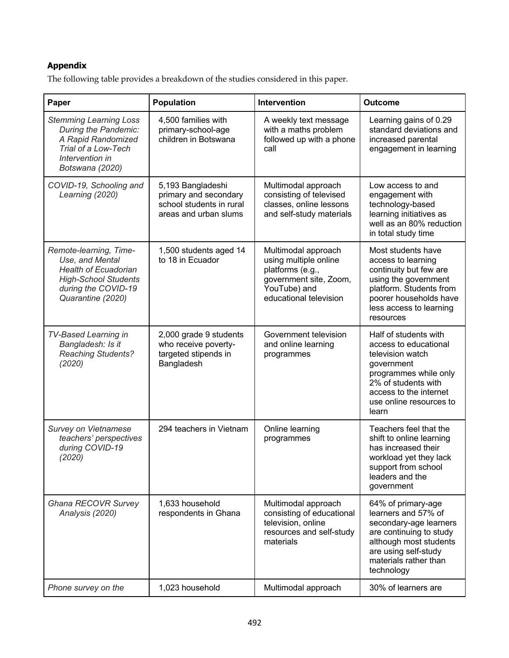#### **Appendix**

The following table provides a breakdown of the studies considered in this paper.

| Paper                                                                                                                                               | <b>Population</b>                                                                               | Intervention                                                                                                                         | <b>Outcome</b>                                                                                                                                                                                 |
|-----------------------------------------------------------------------------------------------------------------------------------------------------|-------------------------------------------------------------------------------------------------|--------------------------------------------------------------------------------------------------------------------------------------|------------------------------------------------------------------------------------------------------------------------------------------------------------------------------------------------|
| <b>Stemming Learning Loss</b><br>During the Pandemic:<br>A Rapid Randomized<br>Trial of a Low-Tech<br>Intervention in<br>Botswana (2020)            | 4,500 families with<br>primary-school-age<br>children in Botswana                               | A weekly text message<br>with a maths problem<br>followed up with a phone<br>call                                                    | Learning gains of 0.29<br>standard deviations and<br>increased parental<br>engagement in learning                                                                                              |
| COVID-19, Schooling and<br>Learning (2020)                                                                                                          | 5,193 Bangladeshi<br>primary and secondary<br>school students in rural<br>areas and urban slums | Multimodal approach<br>consisting of televised<br>classes, online lessons<br>and self-study materials                                | Low access to and<br>engagement with<br>technology-based<br>learning initiatives as<br>well as an 80% reduction<br>in total study time                                                         |
| Remote-learning, Time-<br>Use, and Mental<br><b>Health of Ecuadorian</b><br><b>High-School Students</b><br>during the COVID-19<br>Quarantine (2020) | 1,500 students aged 14<br>to 18 in Ecuador                                                      | Multimodal approach<br>using multiple online<br>platforms (e.g.,<br>government site, Zoom,<br>YouTube) and<br>educational television | Most students have<br>access to learning<br>continuity but few are<br>using the government<br>platform. Students from<br>poorer households have<br>less access to learning<br>resources        |
| <b>TV-Based Learning in</b><br>Bangladesh: Is it<br><b>Reaching Students?</b><br>(2020)                                                             | 2,000 grade 9 students<br>who receive poverty-<br>targeted stipends in<br>Bangladesh            | Government television<br>and online learning<br>programmes                                                                           | Half of students with<br>access to educational<br>television watch<br>government<br>programmes while only<br>2% of students with<br>access to the internet<br>use online resources to<br>learn |
| Survey on Vietnamese<br>teachers' perspectives<br>during COVID-19<br>(2020)                                                                         | 294 teachers in Vietnam                                                                         | Online learning<br>programmes                                                                                                        | Teachers feel that the<br>shift to online learning<br>has increased their<br>workload yet they lack<br>support from school<br>leaders and the<br>government                                    |
| Ghana RECOVR Survey<br>Analysis (2020)                                                                                                              | 1,633 household<br>respondents in Ghana                                                         | Multimodal approach<br>consisting of educational<br>television, online<br>resources and self-study<br>materials                      | 64% of primary-age<br>learners and 57% of<br>secondary-age learners<br>are continuing to study<br>although most students<br>are using self-study<br>materials rather than<br>technology        |
| Phone survey on the                                                                                                                                 | 1,023 household                                                                                 | Multimodal approach                                                                                                                  | 30% of learners are                                                                                                                                                                            |